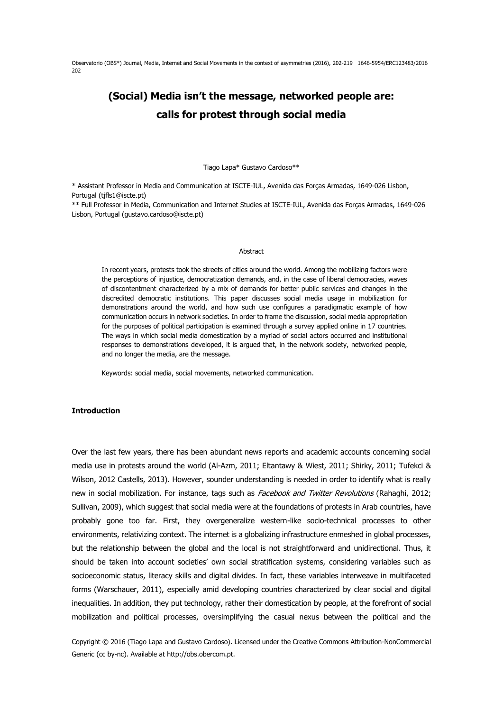Observatorio (OBS\*) Journal, Media, Internet and Social Movements in the context of asymmetries (2016), 202-219 1646-5954/ERC123483/2016 202

# **(Social) Media isn't the message, networked people are: calls for protest through social media**

Tiago Lapa\* Gustavo Cardoso\*\*

\* Assistant Professor in Media and Communication at ISCTE-IUL, Avenida das Forças Armadas, 1649-026 Lisbon, Portugal (tjfls1@iscte.pt)

\*\* Full Professor in Media, Communication and Internet Studies at ISCTE-IUL, Avenida das Forças Armadas, 1649-026 Lisbon, Portugal (gustavo.cardoso@iscte.pt)

#### **Abstract**

In recent years, protests took the streets of cities around the world. Among the mobilizing factors were the perceptions of injustice, democratization demands, and, in the case of liberal democracies, waves of discontentment characterized by a mix of demands for better public services and changes in the discredited democratic institutions. This paper discusses social media usage in mobilization for demonstrations around the world, and how such use configures a paradigmatic example of how communication occurs in network societies. In order to frame the discussion, social media appropriation for the purposes of political participation is examined through a survey applied online in 17 countries. The ways in which social media domestication by a myriad of social actors occurred and institutional responses to demonstrations developed, it is argued that, in the network society, networked people, and no longer the media, are the message.

Keywords: social media, social movements, networked communication.

# **Introduction**

Over the last few years, there has been abundant news reports and academic accounts concerning social media use in protests around the world (Al-Azm, 2011; Eltantawy & Wiest, 2011; Shirky, 2011; Tufekci & Wilson, 2012 Castells, 2013). However, sounder understanding is needed in order to identify what is really new in social mobilization. For instance, tags such as Facebook and Twitter Revolutions (Rahaghi, 2012; Sullivan, 2009), which suggest that social media were at the foundations of protests in Arab countries, have probably gone too far. First, they overgeneralize western-like socio-technical processes to other environments, relativizing context. The internet is a globalizing infrastructure enmeshed in global processes, but the relationship between the global and the local is not straightforward and unidirectional. Thus, it should be taken into account societies' own social stratification systems, considering variables such as socioeconomic status, literacy skills and digital divides. In fact, these variables interweave in multifaceted forms (Warschauer, 2011), especially amid developing countries characterized by clear social and digital inequalities. In addition, they put technology, rather their domestication by people, at the forefront of social mobilization and political processes, oversimplifying the casual nexus between the political and the

Copyright © 2016 (Tiago Lapa and Gustavo Cardoso). Licensed under the Creative Commons Attribution-NonCommercial Generic (cc by-nc). Available at http://obs.obercom.pt.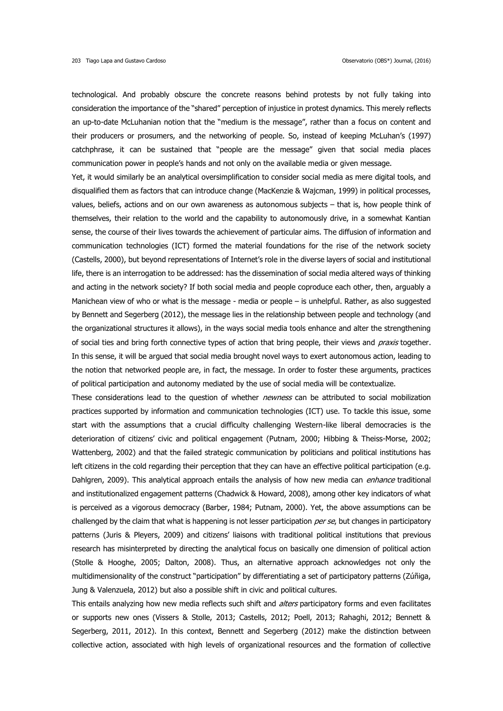technological. And probably obscure the concrete reasons behind protests by not fully taking into consideration the importance of the "shared" perception of injustice in protest dynamics. This merely reflects an up-to-date McLuhanian notion that the "medium is the message", rather than a focus on content and their producers or prosumers, and the networking of people. So, instead of keeping McLuhan's (1997) catchphrase, it can be sustained that "people are the message" given that social media places communication power in people's hands and not only on the available media or given message.

Yet, it would similarly be an analytical oversimplification to consider social media as mere digital tools, and disqualified them as factors that can introduce change (MacKenzie & Wajcman, 1999) in political processes, values, beliefs, actions and on our own awareness as autonomous subjects – that is, how people think of themselves, their relation to the world and the capability to autonomously drive, in a somewhat Kantian sense, the course of their lives towards the achievement of particular aims. The diffusion of information and communication technologies (ICT) formed the material foundations for the rise of the network society (Castells, 2000), but beyond representations of Internet's role in the diverse layers of social and institutional life, there is an interrogation to be addressed: has the dissemination of social media altered ways of thinking and acting in the network society? If both social media and people coproduce each other, then, arguably a Manichean view of who or what is the message - media or people – is unhelpful. Rather, as also suggested by Bennett and Segerberg (2012), the message lies in the relationship between people and technology (and the organizational structures it allows), in the ways social media tools enhance and alter the strengthening of social ties and bring forth connective types of action that bring people, their views and praxis together. In this sense, it will be argued that social media brought novel ways to exert autonomous action, leading to the notion that networked people are, in fact, the message. In order to foster these arguments, practices of political participation and autonomy mediated by the use of social media will be contextualize.

These considerations lead to the question of whether *newness* can be attributed to social mobilization practices supported by information and communication technologies (ICT) use. To tackle this issue, some start with the assumptions that a crucial difficulty challenging Western-like liberal democracies is the deterioration of citizens' civic and political engagement (Putnam, 2000; Hibbing & Theiss-Morse, 2002; Wattenberg, 2002) and that the failed strategic communication by politicians and political institutions has left citizens in the cold regarding their perception that they can have an effective political participation (e.g. Dahlgren, 2009). This analytical approach entails the analysis of how new media can *enhance* traditional and institutionalized engagement patterns (Chadwick & Howard, 2008), among other key indicators of what is perceived as a vigorous democracy (Barber, 1984; Putnam, 2000). Yet, the above assumptions can be challenged by the claim that what is happening is not lesser participation per se, but changes in participatory patterns (Juris & Pleyers, 2009) and citizens' liaisons with traditional political institutions that previous research has misinterpreted by directing the analytical focus on basically one dimension of political action (Stolle & Hooghe, 2005; Dalton, 2008). Thus, an alternative approach acknowledges not only the multidimensionality of the construct "participation" by differentiating a set of participatory patterns (Zúñiga, Jung & Valenzuela, 2012) but also a possible shift in civic and political cultures.

This entails analyzing how new media reflects such shift and *alters* participatory forms and even facilitates or supports new ones (Vissers & Stolle, 2013; Castells, 2012; Poell, 2013; Rahaghi, 2012; Bennett & Segerberg, 2011, 2012). In this context, Bennett and Segerberg (2012) make the distinction between collective action, associated with high levels of organizational resources and the formation of collective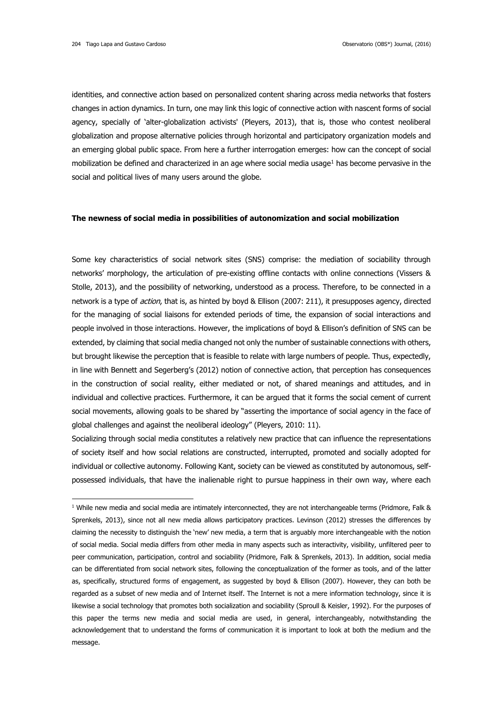1

identities, and connective action based on personalized content sharing across media networks that fosters changes in action dynamics. In turn, one may link this logic of connective action with nascent forms of social agency, specially of 'alter-globalization activists' (Pleyers, 2013), that is, those who contest neoliberal globalization and propose alternative policies through horizontal and participatory organization models and an emerging global public space. From here a further interrogation emerges: how can the concept of social mobilization be defined and characterized in an age where social media usage<sup>1</sup> has become pervasive in the social and political lives of many users around the globe.

## **The newness of social media in possibilities of autonomization and social mobilization**

Some key characteristics of social network sites (SNS) comprise: the mediation of sociability through networks' morphology, the articulation of pre-existing offline contacts with online connections (Vissers & Stolle, 2013), and the possibility of networking, understood as a process. Therefore, to be connected in a network is a type of *action*, that is, as hinted by boyd & Ellison (2007: 211), it presupposes agency, directed for the managing of social liaisons for extended periods of time, the expansion of social interactions and people involved in those interactions. However, the implications of boyd & Ellison's definition of SNS can be extended, by claiming that social media changed not only the number of sustainable connections with others, but brought likewise the perception that is feasible to relate with large numbers of people. Thus, expectedly, in line with Bennett and Segerberg's (2012) notion of connective action, that perception has consequences in the construction of social reality, either mediated or not, of shared meanings and attitudes, and in individual and collective practices. Furthermore, it can be argued that it forms the social cement of current social movements, allowing goals to be shared by "asserting the importance of social agency in the face of global challenges and against the neoliberal ideology" (Pleyers, 2010: 11).

Socializing through social media constitutes a relatively new practice that can influence the representations of society itself and how social relations are constructed, interrupted, promoted and socially adopted for individual or collective autonomy. Following Kant, society can be viewed as constituted by autonomous, selfpossessed individuals, that have the inalienable right to pursue happiness in their own way, where each

 $1$  While new media and social media are intimately interconnected, they are not interchangeable terms (Pridmore, Falk & Sprenkels, 2013), since not all new media allows participatory practices. Levinson (2012) stresses the differences by claiming the necessity to distinguish the 'new' new media, a term that is arguably more interchangeable with the notion of social media. Social media differs from other media in many aspects such as interactivity, visibility, unfiltered peer to peer communication, participation, control and sociability (Pridmore, Falk & Sprenkels, 2013). In addition, social media can be differentiated from social network sites, following the conceptualization of the former as tools, and of the latter as, specifically, structured forms of engagement, as suggested by boyd & Ellison (2007). However, they can both be regarded as a subset of new media and of Internet itself. The Internet is not a mere information technology, since it is likewise a social technology that promotes both socialization and sociability (Sproull & Keisler, 1992). For the purposes of this paper the terms new media and social media are used, in general, interchangeably, notwithstanding the acknowledgement that to understand the forms of communication it is important to look at both the medium and the message.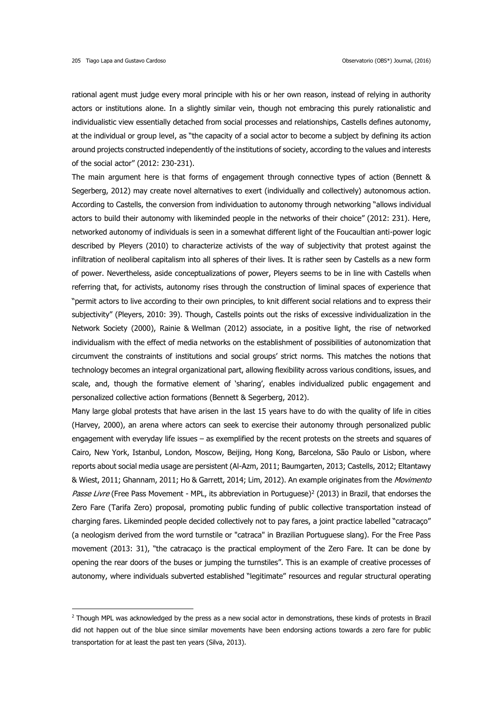1

rational agent must judge every moral principle with his or her own reason, instead of relying in authority actors or institutions alone. In a slightly similar vein, though not embracing this purely rationalistic and individualistic view essentially detached from social processes and relationships, Castells defines autonomy, at the individual or group level, as "the capacity of a social actor to become a subject by defining its action around projects constructed independently of the institutions of society, according to the values and interests of the social actor" (2012: 230-231).

The main argument here is that forms of engagement through connective types of action (Bennett & Segerberg, 2012) may create novel alternatives to exert (individually and collectively) autonomous action. According to Castells, the conversion from individuation to autonomy through networking "allows individual actors to build their autonomy with likeminded people in the networks of their choice" (2012: 231). Here, networked autonomy of individuals is seen in a somewhat different light of the Foucaultian anti-power logic described by Pleyers (2010) to characterize activists of the way of subjectivity that protest against the infiltration of neoliberal capitalism into all spheres of their lives. It is rather seen by Castells as a new form of power. Nevertheless, aside conceptualizations of power, Pleyers seems to be in line with Castells when referring that, for activists, autonomy rises through the construction of liminal spaces of experience that "permit actors to live according to their own principles, to knit different social relations and to express their subjectivity" (Pleyers, 2010: 39). Though, Castells points out the risks of excessive individualization in the Network Society (2000), Rainie & Wellman (2012) associate, in a positive light, the rise of networked individualism with the effect of media networks on the establishment of possibilities of autonomization that circumvent the constraints of institutions and social groups' strict norms. This matches the notions that technology becomes an integral organizational part, allowing flexibility across various conditions, issues, and scale, and, though the formative element of 'sharing', enables individualized public engagement and personalized collective action formations (Bennett & Segerberg, 2012).

Many large global protests that have arisen in the last 15 years have to do with the quality of life in cities (Harvey, 2000), an arena where actors can seek to exercise their autonomy through personalized public engagement with everyday life issues – as exemplified by the recent protests on the streets and squares of Cairo, New York, Istanbul, London, Moscow, Beijing, Hong Kong, Barcelona, São Paulo or Lisbon, where reports about social media usage are persistent (Al-Azm, 2011; Baumgarten, 2013; Castells, 2012; Eltantawy & Wiest, 2011; Ghannam, 2011; Ho & Garrett, 2014; Lim, 2012). An example originates from the Movimento Passe Livre (Free Pass Movement - MPL, its abbreviation in Portuguese)<sup>2</sup> (2013) in Brazil, that endorses the Zero Fare (Tarifa Zero) proposal, promoting public funding of public collective transportation instead of charging fares. Likeminded people decided collectively not to pay fares, a joint practice labelled "catracaço" (a neologism derived from the word turnstile or "catraca" in Brazilian Portuguese slang). For the Free Pass movement (2013: 31), "the catracaço is the practical employment of the Zero Fare. It can be done by opening the rear doors of the buses or jumping the turnstiles". This is an example of creative processes of autonomy, where individuals subverted established "legitimate" resources and regular structural operating

<sup>&</sup>lt;sup>2</sup> Though MPL was acknowledged by the press as a new social actor in demonstrations, these kinds of protests in Brazil did not happen out of the blue since similar movements have been endorsing actions towards a zero fare for public transportation for at least the past ten years (Silva, 2013).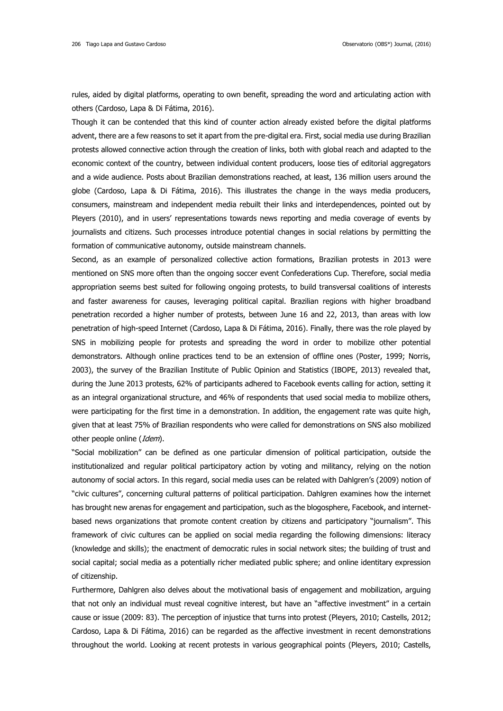rules, aided by digital platforms, operating to own benefit, spreading the word and articulating action with others (Cardoso, Lapa & Di Fátima, 2016).

Though it can be contended that this kind of counter action already existed before the digital platforms advent, there are a few reasons to set it apart from the pre-digital era. First, social media use during Brazilian protests allowed connective action through the creation of links, both with global reach and adapted to the economic context of the country, between individual content producers, loose ties of editorial aggregators and a wide audience. Posts about Brazilian demonstrations reached, at least, 136 million users around the globe (Cardoso, Lapa & Di Fátima, 2016). This illustrates the change in the ways media producers, consumers, mainstream and independent media rebuilt their links and interdependences, pointed out by Pleyers (2010), and in users' representations towards news reporting and media coverage of events by journalists and citizens. Such processes introduce potential changes in social relations by permitting the formation of communicative autonomy, outside mainstream channels.

Second, as an example of personalized collective action formations, Brazilian protests in 2013 were mentioned on SNS more often than the ongoing soccer event Confederations Cup. Therefore, social media appropriation seems best suited for following ongoing protests, to build transversal coalitions of interests and faster awareness for causes, leveraging political capital. Brazilian regions with higher broadband penetration recorded a higher number of protests, between June 16 and 22, 2013, than areas with low penetration of high-speed Internet (Cardoso, Lapa & Di Fátima, 2016). Finally, there was the role played by SNS in mobilizing people for protests and spreading the word in order to mobilize other potential demonstrators. Although online practices tend to be an extension of offline ones (Poster, 1999; Norris, 2003), the survey of the Brazilian Institute of Public Opinion and Statistics (IBOPE, 2013) revealed that, during the June 2013 protests, 62% of participants adhered to Facebook events calling for action, setting it as an integral organizational structure, and 46% of respondents that used social media to mobilize others, were participating for the first time in a demonstration. In addition, the engagement rate was quite high, given that at least 75% of Brazilian respondents who were called for demonstrations on SNS also mobilized other people online (Idem).

"Social mobilization" can be defined as one particular dimension of political participation, outside the institutionalized and regular political participatory action by voting and militancy, relying on the notion autonomy of social actors. In this regard, social media uses can be related with Dahlgren's (2009) notion of "civic cultures", concerning cultural patterns of political participation. Dahlgren examines how the internet has brought new arenas for engagement and participation, such as the blogosphere, Facebook, and internetbased news organizations that promote content creation by citizens and participatory "journalism". This framework of civic cultures can be applied on social media regarding the following dimensions: literacy (knowledge and skills); the enactment of democratic rules in social network sites; the building of trust and social capital; social media as a potentially richer mediated public sphere; and online identitary expression of citizenship.

Furthermore, Dahlgren also delves about the motivational basis of engagement and mobilization, arguing that not only an individual must reveal cognitive interest, but have an "affective investment" in a certain cause or issue (2009: 83). The perception of injustice that turns into protest (Pleyers, 2010; Castells, 2012; Cardoso, Lapa & Di Fátima, 2016) can be regarded as the affective investment in recent demonstrations throughout the world. Looking at recent protests in various geographical points (Pleyers, 2010; Castells,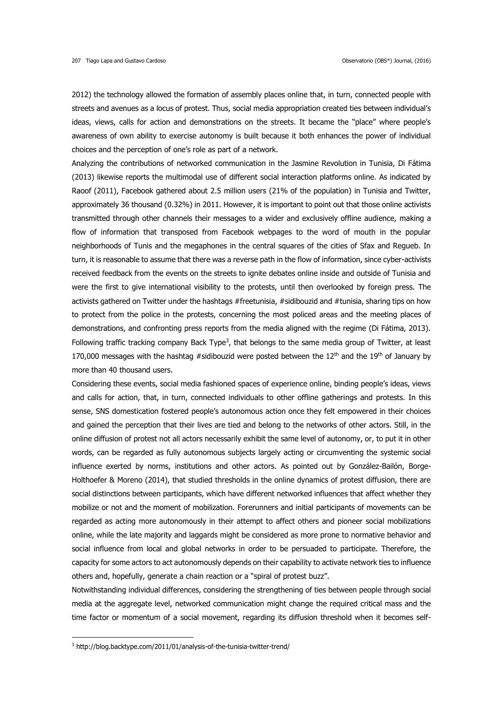2012) the technology allowed the formation of assembly places online that, in turn, connected people with streets and avenues as a locus of protest. Thus, social media appropriation created ties between individual's ideas, views, calls for action and demonstrations on the streets. It became the "place" where people's awareness of own ability to exercise autonomy is built because it both enhances the power of individual choices and the perception of one's role as part of a network.

Analyzing the contributions of networked communication in the Jasmine Revolution in Tunisia, Di Fátima (2013) likewise reports the multimodal use of different social interaction platforms online. As indicated by Raoof (2011), Facebook gathered about 2.5 million users (21% of the population) in Tunisia and Twitter, approximately 36 thousand (0.32%) in 2011. However, it is important to point out that those online activists transmitted through other channels their messages to a wider and exclusively offline audience, making a flow of information that transposed from Facebook webpages to the word of mouth in the popular neighborhoods of Tunis and the megaphones in the central squares of the cities of Sfax and Regueb. In turn, it is reasonable to assume that there was a reverse path in the flow of information, since cyber-activists received feedback from the events on the streets to ignite debates online inside and outside of Tunisia and were the first to give international visibility to the protests, until then overlooked by foreign press. The activists gathered on Twitter under the hashtags #freetunisia, #sidibouzid and #tunisia, sharing tips on how to protect from the police in the protests, concerning the most policed areas and the meeting places of demonstrations, and confronting press reports from the media aligned with the regime (Di Fátima, 2013). Following traffic tracking company Back Type<sup>3</sup>, that belongs to the same media group of Twitter, at least 170,000 messages with the hashtag #sidibouzid were posted between the  $12<sup>th</sup>$  and the 19<sup>th</sup> of January by more than 40 thousand users.

Considering these events, social media fashioned spaces of experience online, binding people's ideas, views and calls for action, that, in turn, connected individuals to other offline gatherings and protests. In this sense, SNS domestication fostered people's autonomous action once they felt empowered in their choices and gained the perception that their lives are tied and belong to the networks of other actors. Still, in the online diffusion of protest not all actors necessarily exhibit the same level of autonomy, or, to put it in other words, can be regarded as fully autonomous subjects largely acting or circumventing the systemic social influence exerted by norms, institutions and other actors. As pointed out by González-Bailón, Borge-Holthoefer & Moreno (2014), that studied thresholds in the online dynamics of protest diffusion, there are social distinctions between participants, which have different networked influences that affect whether they mobilize or not and the moment of mobilization. Forerunners and initial participants of movements can be regarded as acting more autonomously in their attempt to affect others and pioneer social mobilizations online, while the late majority and laggards might be considered as more prone to normative behavior and social influence from local and global networks in order to be persuaded to participate. Therefore, the capacity for some actors to act autonomously depends on their capability to activate network ties to influence others and, hopefully, generate a chain reaction or a "spiral of protest buzz".

Notwithstanding individual differences, considering the strengthening of ties between people through social media at the aggregate level, networked communication might change the required critical mass and the time factor or momentum of a social movement, regarding its diffusion threshold when it becomes self-

1

<sup>3</sup> http://blog.backtype.com/2011/01/analysis-of-the-tunisia-twitter-trend/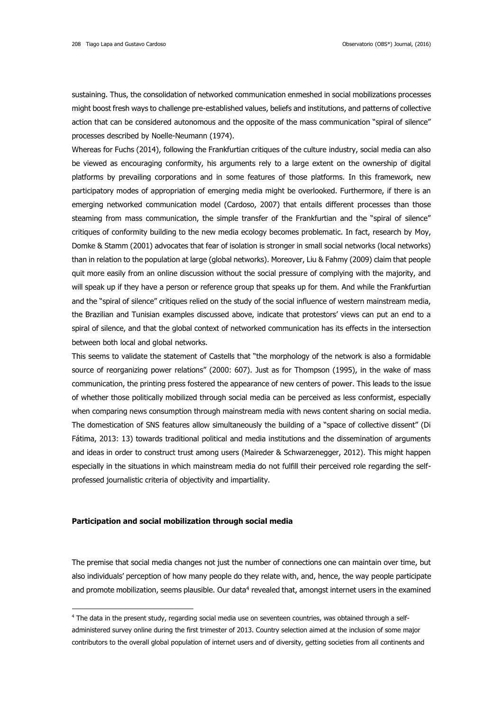sustaining. Thus, the consolidation of networked communication enmeshed in social mobilizations processes might boost fresh ways to challenge pre-established values, beliefs and institutions, and patterns of collective action that can be considered autonomous and the opposite of the mass communication "spiral of silence" processes described by Noelle-Neumann (1974).

Whereas for Fuchs (2014), following the Frankfurtian critiques of the culture industry, social media can also be viewed as encouraging conformity, his arguments rely to a large extent on the ownership of digital platforms by prevailing corporations and in some features of those platforms. In this framework, new participatory modes of appropriation of emerging media might be overlooked. Furthermore, if there is an emerging networked communication model (Cardoso, 2007) that entails different processes than those steaming from mass communication, the simple transfer of the Frankfurtian and the "spiral of silence" critiques of conformity building to the new media ecology becomes problematic. In fact, research by Moy, Domke & Stamm (2001) advocates that fear of isolation is stronger in small social networks (local networks) than in relation to the population at large (global networks). Moreover, Liu & Fahmy (2009) claim that people quit more easily from an online discussion without the social pressure of complying with the majority, and will speak up if they have a person or reference group that speaks up for them. And while the Frankfurtian and the "spiral of silence" critiques relied on the study of the social influence of western mainstream media, the Brazilian and Tunisian examples discussed above, indicate that protestors' views can put an end to a spiral of silence, and that the global context of networked communication has its effects in the intersection between both local and global networks.

This seems to validate the statement of Castells that "the morphology of the network is also a formidable source of reorganizing power relations" (2000: 607). Just as for Thompson (1995), in the wake of mass communication, the printing press fostered the appearance of new centers of power. This leads to the issue of whether those politically mobilized through social media can be perceived as less conformist, especially when comparing news consumption through mainstream media with news content sharing on social media. The domestication of SNS features allow simultaneously the building of a "space of collective dissent" (Di Fátima, 2013: 13) towards traditional political and media institutions and the dissemination of arguments and ideas in order to construct trust among users (Maireder & Schwarzenegger, 2012). This might happen especially in the situations in which mainstream media do not fulfill their perceived role regarding the selfprofessed journalistic criteria of objectivity and impartiality.

# **Participation and social mobilization through social media**

1

The premise that social media changes not just the number of connections one can maintain over time, but also individuals' perception of how many people do they relate with, and, hence, the way people participate and promote mobilization, seems plausible. Our data<sup>4</sup> revealed that, amongst internet users in the examined

<sup>4</sup> The data in the present study, regarding social media use on seventeen countries, was obtained through a selfadministered survey online during the first trimester of 2013. Country selection aimed at the inclusion of some major contributors to the overall global population of internet users and of diversity, getting societies from all continents and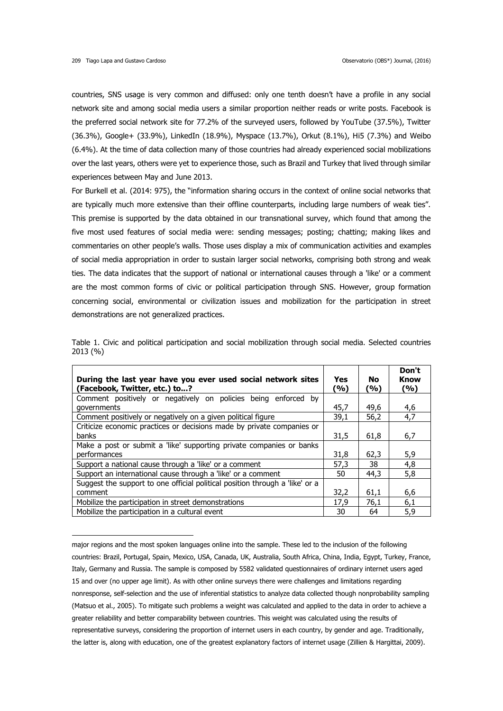1

countries, SNS usage is very common and diffused: only one tenth doesn't have a profile in any social network site and among social media users a similar proportion neither reads or write posts. Facebook is the preferred social network site for 77.2% of the surveyed users, followed by YouTube (37.5%), Twitter (36.3%), Google+ (33.9%), LinkedIn (18.9%), Myspace (13.7%), Orkut (8.1%), Hi5 (7.3%) and Weibo (6.4%). At the time of data collection many of those countries had already experienced social mobilizations over the last years, others were yet to experience those, such as Brazil and Turkey that lived through similar experiences between May and June 2013.

For Burkell et al. (2014: 975), the "information sharing occurs in the context of online social networks that are typically much more extensive than their offline counterparts, including large numbers of weak ties". This premise is supported by the data obtained in our transnational survey, which found that among the five most used features of social media were: sending messages; posting; chatting; making likes and commentaries on other people's walls. Those uses display a mix of communication activities and examples of social media appropriation in order to sustain larger social networks, comprising both strong and weak ties. The data indicates that the support of national or international causes through a 'like' or a comment are the most common forms of civic or political participation through SNS. However, group formation concerning social, environmental or civilization issues and mobilization for the participation in street demonstrations are not generalized practices.

| During the last year have you ever used social network sites<br>(Facebook, Twitter, etc.) to? | Yes<br>(%) | <b>No</b><br>(%) | Don't<br><b>Know</b><br>(%) |
|-----------------------------------------------------------------------------------------------|------------|------------------|-----------------------------|
| Comment positively or negatively on policies being enforced by                                |            |                  |                             |
| governments                                                                                   | 45.7       | 49,6             | 4,6                         |
| Comment positively or negatively on a given political figure                                  | 39,1       | 56,2             | 4,7                         |
| Criticize economic practices or decisions made by private companies or                        |            |                  |                             |
| banks                                                                                         | 31,5       | 61,8             | 6,7                         |
| Make a post or submit a 'like' supporting private companies or banks                          |            |                  |                             |
| performances                                                                                  | 31,8       | 62,3             | 5,9                         |
| Support a national cause through a 'like' or a comment                                        | 57,3       | 38               | 4,8                         |
| Support an international cause through a 'like' or a comment                                  | 50         | 44,3             | 5,8                         |
| Suggest the support to one official political position through a 'like' or a                  |            |                  |                             |
| comment                                                                                       | 32,2       | 61,1             | 6,6                         |
| Mobilize the participation in street demonstrations                                           | 17.9       | 76,1             | 6,1                         |
| Mobilize the participation in a cultural event                                                | 30         | 64               | 5,9                         |

Table 1. Civic and political participation and social mobilization through social media. Selected countries 2013 (%)

major regions and the most spoken languages online into the sample. These led to the inclusion of the following countries: Brazil, Portugal, Spain, Mexico, USA, Canada, UK, Australia, South Africa, China, India, Egypt, Turkey, France, Italy, Germany and Russia. The sample is composed by 5582 validated questionnaires of ordinary internet users aged 15 and over (no upper age limit). As with other online surveys there were challenges and limitations regarding nonresponse, self-selection and the use of inferential statistics to analyze data collected though nonprobability sampling (Matsuo et al., 2005). To mitigate such problems a weight was calculated and applied to the data in order to achieve a greater reliability and better comparability between countries. This weight was calculated using the results of representative surveys, considering the proportion of internet users in each country, by gender and age. Traditionally, the latter is, along with education, one of the greatest explanatory factors of internet usage (Zillien & Hargittai, 2009).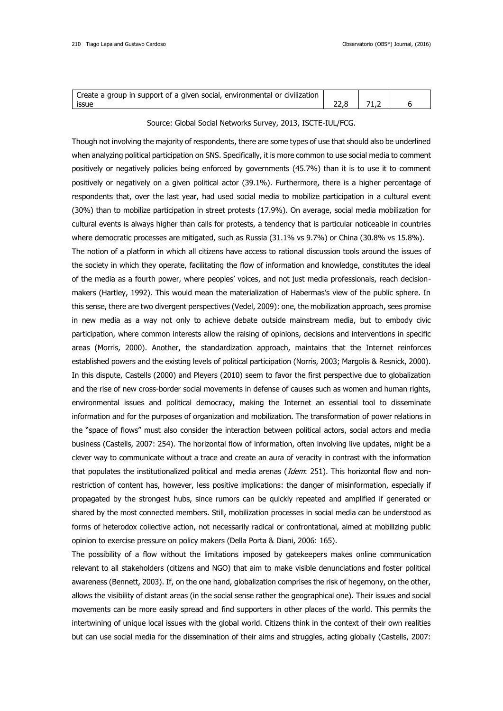| Create a group in support of a given social, environmental or civilization |  |  |
|----------------------------------------------------------------------------|--|--|
| issue                                                                      |  |  |

## Source: Global Social Networks Survey, 2013, ISCTE-IUL/FCG.

Though not involving the majority of respondents, there are some types of use that should also be underlined when analyzing political participation on SNS. Specifically, it is more common to use social media to comment positively or negatively policies being enforced by governments (45.7%) than it is to use it to comment positively or negatively on a given political actor (39.1%). Furthermore, there is a higher percentage of respondents that, over the last year, had used social media to mobilize participation in a cultural event (30%) than to mobilize participation in street protests (17.9%). On average, social media mobilization for cultural events is always higher than calls for protests, a tendency that is particular noticeable in countries where democratic processes are mitigated, such as Russia (31.1% vs 9.7%) or China (30.8% vs 15.8%).

The notion of a platform in which all citizens have access to rational discussion tools around the issues of the society in which they operate, facilitating the flow of information and knowledge, constitutes the ideal of the media as a fourth power, where peoples' voices, and not just media professionals, reach decisionmakers (Hartley, 1992). This would mean the materialization of Habermas's view of the public sphere. In this sense, there are two divergent perspectives (Vedel, 2009): one, the mobilization approach, sees promise in new media as a way not only to achieve debate outside mainstream media, but to embody civic participation, where common interests allow the raising of opinions, decisions and interventions in specific areas (Morris, 2000). Another, the standardization approach, maintains that the Internet reinforces established powers and the existing levels of political participation (Norris, 2003; Margolis & Resnick, 2000). In this dispute, Castells (2000) and Pleyers (2010) seem to favor the first perspective due to globalization and the rise of new cross-border social movements in defense of causes such as women and human rights, environmental issues and political democracy, making the Internet an essential tool to disseminate information and for the purposes of organization and mobilization. The transformation of power relations in the "space of flows" must also consider the interaction between political actors, social actors and media business (Castells, 2007: 254). The horizontal flow of information, often involving live updates, might be a clever way to communicate without a trace and create an aura of veracity in contrast with the information that populates the institutionalized political and media arenas (Idem: 251). This horizontal flow and nonrestriction of content has, however, less positive implications: the danger of misinformation, especially if propagated by the strongest hubs, since rumors can be quickly repeated and amplified if generated or shared by the most connected members. Still, mobilization processes in social media can be understood as forms of heterodox collective action, not necessarily radical or confrontational, aimed at mobilizing public opinion to exercise pressure on policy makers (Della Porta & Diani, 2006: 165).

The possibility of a flow without the limitations imposed by gatekeepers makes online communication relevant to all stakeholders (citizens and NGO) that aim to make visible denunciations and foster political awareness (Bennett, 2003). If, on the one hand, globalization comprises the risk of hegemony, on the other, allows the visibility of distant areas (in the social sense rather the geographical one). Their issues and social movements can be more easily spread and find supporters in other places of the world. This permits the intertwining of unique local issues with the global world. Citizens think in the context of their own realities but can use social media for the dissemination of their aims and struggles, acting globally (Castells, 2007: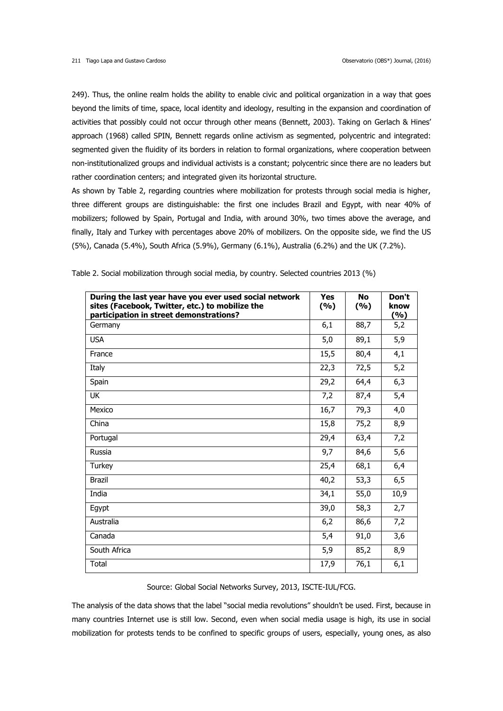249). Thus, the online realm holds the ability to enable civic and political organization in a way that goes beyond the limits of time, space, local identity and ideology, resulting in the expansion and coordination of activities that possibly could not occur through other means (Bennett, 2003). Taking on Gerlach & Hines' approach (1968) called SPIN, Bennett regards online activism as segmented, polycentric and integrated: segmented given the fluidity of its borders in relation to formal organizations, where cooperation between non-institutionalized groups and individual activists is a constant; polycentric since there are no leaders but rather coordination centers; and integrated given its horizontal structure.

As shown by Table 2, regarding countries where mobilization for protests through social media is higher, three different groups are distinguishable: the first one includes Brazil and Egypt, with near 40% of mobilizers; followed by Spain, Portugal and India, with around 30%, two times above the average, and finally, Italy and Turkey with percentages above 20% of mobilizers. On the opposite side, we find the US (5%), Canada (5.4%), South Africa (5.9%), Germany (6.1%), Australia (6.2%) and the UK (7.2%).

| During the last year have you ever used social network<br>sites (Facebook, Twitter, etc.) to mobilize the<br>participation in street demonstrations? | Yes<br>(9/6) | <b>No</b><br>(%)   | Don't<br>know<br>(%) |
|------------------------------------------------------------------------------------------------------------------------------------------------------|--------------|--------------------|----------------------|
| Germany                                                                                                                                              | 6,1          | 88,7               | 5,2                  |
| <b>USA</b>                                                                                                                                           | 5,0          | 89,1               | 5,9                  |
| France                                                                                                                                               | 15,5         | 80,4               | 4,1                  |
| Italy                                                                                                                                                | 22,3         | 72,5               | 5,2                  |
| Spain                                                                                                                                                | 29,2         | 64,4               | 6,3                  |
| UK                                                                                                                                                   | 7,2          | 87,4               | 5,4                  |
| Mexico                                                                                                                                               | 16,7         | 79,3               | 4,0                  |
| China                                                                                                                                                | 15,8         | 75,2               | 8,9                  |
| Portugal                                                                                                                                             | 29,4         | 63,4               | 7,2                  |
| Russia                                                                                                                                               | 9,7          | 84,6               | 5,6                  |
| Turkey                                                                                                                                               | 25,4         | 68,1               | 6,4                  |
| <b>Brazil</b>                                                                                                                                        | 40,2         | 53,3               | 6,5                  |
| India                                                                                                                                                | 34,1         | 55,0               | 10,9                 |
| Egypt                                                                                                                                                | 39,0         | 58,3               | 2,7                  |
| Australia                                                                                                                                            | 6,2          | 86,6               | 7,2                  |
| Canada                                                                                                                                               | 5,4          | 91,0               | 3,6                  |
| South Africa                                                                                                                                         | 5,9          | 85,2               | 8,9                  |
| Total                                                                                                                                                | 17,9         | $\overline{7}$ 6,1 | 6,1                  |

Table 2. Social mobilization through social media, by country. Selected countries 2013 (%)

Source: Global Social Networks Survey, 2013, ISCTE-IUL/FCG.

The analysis of the data shows that the label "social media revolutions" shouldn't be used. First, because in many countries Internet use is still low. Second, even when social media usage is high, its use in social mobilization for protests tends to be confined to specific groups of users, especially, young ones, as also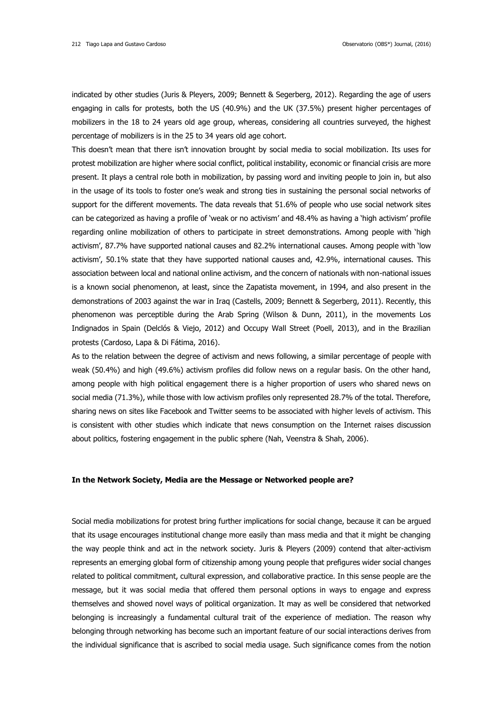indicated by other studies (Juris & Pleyers, 2009; Bennett & Segerberg, 2012). Regarding the age of users engaging in calls for protests, both the US (40.9%) and the UK (37.5%) present higher percentages of mobilizers in the 18 to 24 years old age group, whereas, considering all countries surveyed, the highest percentage of mobilizers is in the 25 to 34 years old age cohort.

This doesn't mean that there isn't innovation brought by social media to social mobilization. Its uses for protest mobilization are higher where social conflict, political instability, economic or financial crisis are more present. It plays a central role both in mobilization, by passing word and inviting people to join in, but also in the usage of its tools to foster one's weak and strong ties in sustaining the personal social networks of support for the different movements. The data reveals that 51.6% of people who use social network sites can be categorized as having a profile of 'weak or no activism' and 48.4% as having a 'high activism' profile regarding online mobilization of others to participate in street demonstrations. Among people with 'high activism', 87.7% have supported national causes and 82.2% international causes. Among people with 'low activism', 50.1% state that they have supported national causes and, 42.9%, international causes. This association between local and national online activism, and the concern of nationals with non-national issues is a known social phenomenon, at least, since the Zapatista movement, in 1994, and also present in the demonstrations of 2003 against the war in Iraq (Castells, 2009; Bennett & Segerberg, 2011). Recently, this phenomenon was perceptible during the Arab Spring (Wilson & Dunn, 2011), in the movements Los Indignados in Spain (Delclós & Viejo, 2012) and Occupy Wall Street (Poell, 2013), and in the Brazilian protests (Cardoso, Lapa & Di Fátima, 2016).

As to the relation between the degree of activism and news following, a similar percentage of people with weak (50.4%) and high (49.6%) activism profiles did follow news on a regular basis. On the other hand, among people with high political engagement there is a higher proportion of users who shared news on social media (71.3%), while those with low activism profiles only represented 28.7% of the total. Therefore, sharing news on sites like Facebook and Twitter seems to be associated with higher levels of activism. This is consistent with other studies which indicate that news consumption on the Internet raises discussion about politics, fostering engagement in the public sphere (Nah, Veenstra & Shah, 2006).

## **In the Network Society, Media are the Message or Networked people are?**

Social media mobilizations for protest bring further implications for social change, because it can be argued that its usage encourages institutional change more easily than mass media and that it might be changing the way people think and act in the network society. Juris & Pleyers (2009) contend that alter-activism represents an emerging global form of citizenship among young people that prefigures wider social changes related to political commitment, cultural expression, and collaborative practice. In this sense people are the message, but it was social media that offered them personal options in ways to engage and express themselves and showed novel ways of political organization. It may as well be considered that networked belonging is increasingly a fundamental cultural trait of the experience of mediation. The reason why belonging through networking has become such an important feature of our social interactions derives from the individual significance that is ascribed to social media usage. Such significance comes from the notion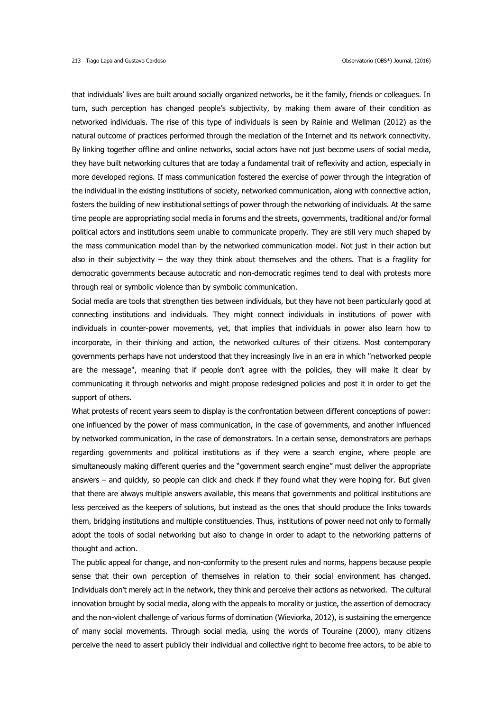that individuals' lives are built around socially organized networks, be it the family, friends or colleagues. In turn, such perception has changed people's subjectivity, by making them aware of their condition as networked individuals. The rise of this type of individuals is seen by Rainie and Wellman (2012) as the natural outcome of practices performed through the mediation of the Internet and its network connectivity. By linking together offline and online networks, social actors have not just become users of social media, they have built networking cultures that are today a fundamental trait of reflexivity and action, especially in more developed regions. If mass communication fostered the exercise of power through the integration of the individual in the existing institutions of society, networked communication, along with connective action, fosters the building of new institutional settings of power through the networking of individuals. At the same time people are appropriating social media in forums and the streets, governments, traditional and/or formal political actors and institutions seem unable to communicate properly. They are still very much shaped by the mass communication model than by the networked communication model. Not just in their action but also in their subjectivity – the way they think about themselves and the others. That is a fragility for democratic governments because autocratic and non-democratic regimes tend to deal with protests more through real or symbolic violence than by symbolic communication.

Social media are tools that strengthen ties between individuals, but they have not been particularly good at connecting institutions and individuals. They might connect individuals in institutions of power with individuals in counter-power movements, yet, that implies that individuals in power also learn how to incorporate, in their thinking and action, the networked cultures of their citizens. Most contemporary governments perhaps have not understood that they increasingly live in an era in which "networked people are the message", meaning that if people don't agree with the policies, they will make it clear by communicating it through networks and might propose redesigned policies and post it in order to get the support of others.

What protests of recent years seem to display is the confrontation between different conceptions of power: one influenced by the power of mass communication, in the case of governments, and another influenced by networked communication, in the case of demonstrators. In a certain sense, demonstrators are perhaps regarding governments and political institutions as if they were a search engine, where people are simultaneously making different queries and the "government search engine" must deliver the appropriate answers – and quickly, so people can click and check if they found what they were hoping for. But given that there are always multiple answers available, this means that governments and political institutions are less perceived as the keepers of solutions, but instead as the ones that should produce the links towards them, bridging institutions and multiple constituencies. Thus, institutions of power need not only to formally adopt the tools of social networking but also to change in order to adapt to the networking patterns of thought and action.

The public appeal for change, and non-conformity to the present rules and norms, happens because people sense that their own perception of themselves in relation to their social environment has changed. Individuals don't merely act in the network, they think and perceive their actions as networked. The cultural innovation brought by social media, along with the appeals to morality or justice, the assertion of democracy and the non-violent challenge of various forms of domination (Wieviorka, 2012), is sustaining the emergence of many social movements. Through social media, using the words of Touraine (2000), many citizens perceive the need to assert publicly their individual and collective right to become free actors, to be able to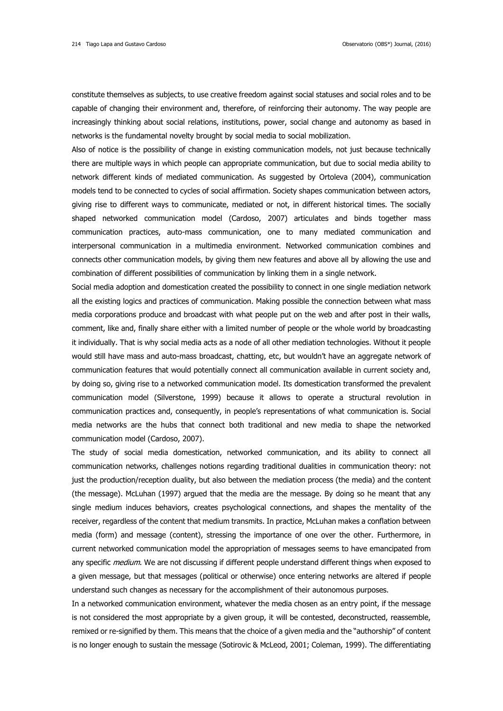constitute themselves as subjects, to use creative freedom against social statuses and social roles and to be capable of changing their environment and, therefore, of reinforcing their autonomy. The way people are increasingly thinking about social relations, institutions, power, social change and autonomy as based in networks is the fundamental novelty brought by social media to social mobilization.

Also of notice is the possibility of change in existing communication models, not just because technically there are multiple ways in which people can appropriate communication, but due to social media ability to network different kinds of mediated communication. As suggested by Ortoleva (2004), communication models tend to be connected to cycles of social affirmation. Society shapes communication between actors, giving rise to different ways to communicate, mediated or not, in different historical times. The socially shaped networked communication model (Cardoso, 2007) articulates and binds together mass communication practices, auto-mass communication, one to many mediated communication and interpersonal communication in a multimedia environment. Networked communication combines and connects other communication models, by giving them new features and above all by allowing the use and combination of different possibilities of communication by linking them in a single network.

Social media adoption and domestication created the possibility to connect in one single mediation network all the existing logics and practices of communication. Making possible the connection between what mass media corporations produce and broadcast with what people put on the web and after post in their walls, comment, like and, finally share either with a limited number of people or the whole world by broadcasting it individually. That is why social media acts as a node of all other mediation technologies. Without it people would still have mass and auto-mass broadcast, chatting, etc, but wouldn't have an aggregate network of communication features that would potentially connect all communication available in current society and, by doing so, giving rise to a networked communication model. Its domestication transformed the prevalent communication model (Silverstone, 1999) because it allows to operate a structural revolution in communication practices and, consequently, in people's representations of what communication is. Social media networks are the hubs that connect both traditional and new media to shape the networked communication model (Cardoso, 2007).

The study of social media domestication, networked communication, and its ability to connect all communication networks, challenges notions regarding traditional dualities in communication theory: not just the production/reception duality, but also between the mediation process (the media) and the content (the message). McLuhan (1997) argued that the media are the message. By doing so he meant that any single medium induces behaviors, creates psychological connections, and shapes the mentality of the receiver, regardless of the content that medium transmits. In practice, McLuhan makes a conflation between media (form) and message (content), stressing the importance of one over the other. Furthermore, in current networked communication model the appropriation of messages seems to have emancipated from any specific *medium*. We are not discussing if different people understand different things when exposed to a given message, but that messages (political or otherwise) once entering networks are altered if people understand such changes as necessary for the accomplishment of their autonomous purposes.

In a networked communication environment, whatever the media chosen as an entry point, if the message is not considered the most appropriate by a given group, it will be contested, deconstructed, reassemble, remixed or re-signified by them. This means that the choice of a given media and the "authorship" of content is no longer enough to sustain the message (Sotirovic & McLeod, 2001; Coleman, 1999). The differentiating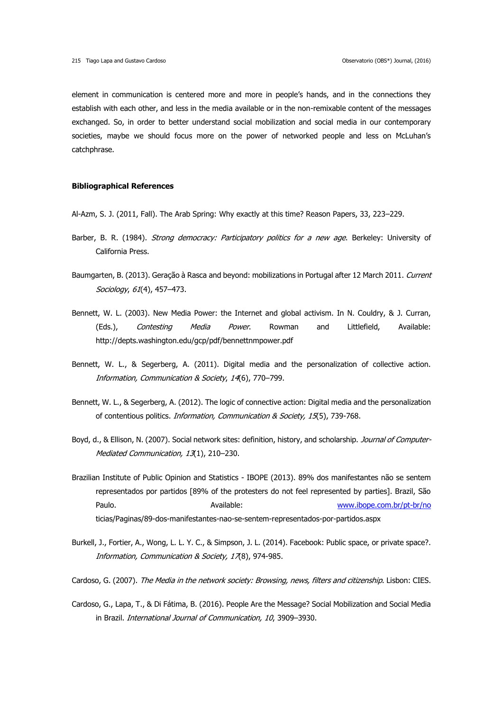element in communication is centered more and more in people's hands, and in the connections they establish with each other, and less in the media available or in the non-remixable content of the messages exchanged. So, in order to better understand social mobilization and social media in our contemporary societies, maybe we should focus more on the power of networked people and less on McLuhan's catchphrase.

## **Bibliographical References**

Al-Azm, S. J. (2011, Fall). The Arab Spring: Why exactly at this time? Reason Papers, 33, 223–229.

- Barber, B. R. (1984). Strong democracy: Participatory politics for a new age. Berkeley: University of California Press.
- Baumgarten, B. (2013). Geração à Rasca and beyond: mobilizations in Portugal after 12 March 2011. Current Sociology, 61(4), 457–473.
- Bennett, W. L. (2003). New Media Power: the Internet and global activism. In N. Couldry, & J. Curran, (Eds.), Contesting Media Power. Rowman and Littlefield, Available: http://depts.washington.edu/gcp/pdf/bennettnmpower.pdf
- Bennett, W. L., & Segerberg, A. (2011). Digital media and the personalization of collective action. Information, Communication & Society, 14(6), 770–799.
- Bennett, W. L., & Segerberg, A. (2012). The logic of connective action: Digital media and the personalization of contentious politics. *Information, Communication & Society, 15*(5), 739-768.
- Boyd, d., & Ellison, N. (2007). Social network sites: definition, history, and scholarship. *Journal of Computer-*Mediated Communication, 13(1), 210–230.
- Brazilian Institute of Public Opinion and Statistics IBOPE (2013). 89% dos manifestantes não se sentem representados por partidos [89% of the protesters do not feel represented by parties]. Brazil, São Paulo. Available: [www.ibope.com.br/pt-br/no](http://www.ibope.com.br/pt-br/no) ticias/Paginas/89-dos-manifestantes-nao-se-sentem-representados-por-partidos.aspx
- Burkell, J., Fortier, A., Wong, L. L. Y. C., & Simpson, J. L. (2014). Facebook: Public space, or private space?. Information, Communication & Society, 17(8), 974-985.
- Cardoso, G. (2007). The Media in the network society: Browsing, news, filters and citizenship. Lisbon: CIES.
- Cardoso, G., Lapa, T., & Di Fátima, B. (2016). People Are the Message? Social Mobilization and Social Media in Brazil. International Journal of Communication, 10, 3909–3930.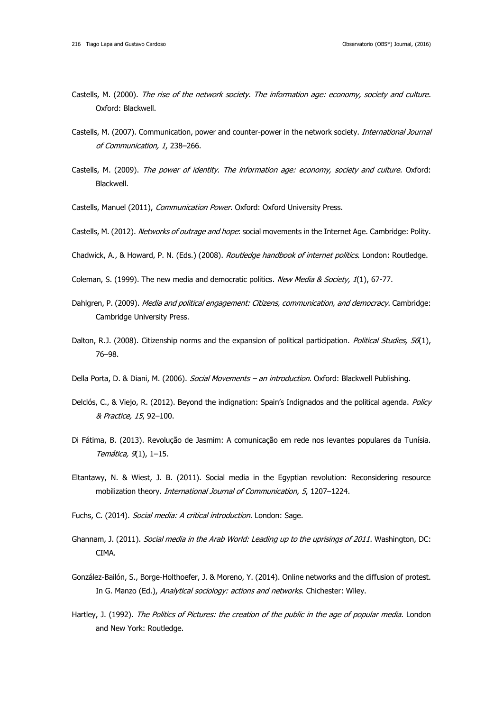- Castells, M. (2000). The rise of the network society. The information age: economy, society and culture. Oxford: Blackwell.
- Castells, M. (2007). Communication, power and counter-power in the network society. International Journal of Communication, 1, 238–266.
- Castells, M. (2009). The power of identity. The information age: economy, society and culture. Oxford: Blackwell.
- Castells, Manuel (2011), Communication Power. Oxford: Oxford University Press.
- Castells, M. (2012). Networks of outrage and hope: social movements in the Internet Age. Cambridge: Polity.
- Chadwick, A., & Howard, P. N. (Eds.) (2008). Routledge handbook of internet politics. London: Routledge.
- Coleman, S. (1999). The new media and democratic politics. New Media & Society, 1(1), 67-77.
- Dahlgren, P. (2009). Media and political engagement: Citizens, communication, and democracy. Cambridge: Cambridge University Press.
- Dalton, R.J. (2008). Citizenship norms and the expansion of political participation. *Political Studies, 56*(1), 76–98.
- Della Porta, D. & Diani, M. (2006). Social Movements an introduction. Oxford: Blackwell Publishing.
- Delclós, C., & Viejo, R. (2012). Beyond the indignation: Spain's Indignados and the political agenda. Policy & Practice, 15, 92–100.
- Di Fátima, B. (2013). Revolução de Jasmim: A comunicação em rede nos levantes populares da Tunísia. Temática, 9(1), 1–15.
- Eltantawy, N. & Wiest, J. B. (2011). Social media in the Egyptian revolution: Reconsidering resource mobilization theory. International Journal of Communication, 5, 1207–1224.
- Fuchs, C. (2014). Social media: A critical introduction. London: Sage.
- Ghannam, J. (2011). Social media in the Arab World: Leading up to the uprisings of 2011. Washington, DC: CIMA.
- González-Bailón, S., Borge-Holthoefer, J. & Moreno, Y. (2014). Online networks and the diffusion of protest. In G. Manzo (Ed.), Analytical sociology: actions and networks. Chichester: Wiley.
- Hartley, J. (1992). The Politics of Pictures: the creation of the public in the age of popular media. London and New York: Routledge.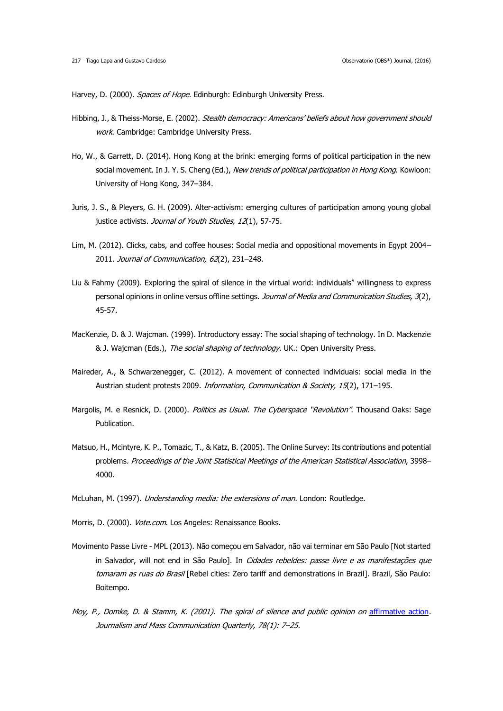Harvey, D. (2000). Spaces of Hope. Edinburgh: Edinburgh University Press.

- Hibbing, J., & Theiss-Morse, E. (2002). Stealth democracy: Americans' beliefs about how government should work. Cambridge: Cambridge University Press.
- Ho, W., & Garrett, D. (2014). Hong Kong at the brink: emerging forms of political participation in the new social movement. In J. Y. S. Cheng (Ed.), New trends of political participation in Hong Kong. Kowloon: University of Hong Kong, 347–384.
- Juris, J. S., & Pleyers, G. H. (2009). Alter-activism: emerging cultures of participation among young global justice activists. Journal of Youth Studies, 12(1), 57-75.
- Lim, M. (2012). Clicks, cabs, and coffee houses: Social media and oppositional movements in Egypt 2004– 2011. Journal of Communication, 62(2), 231–248.
- Liu & Fahmy (2009). Exploring the spiral of silence in the virtual world: individuals'' willingness to express personal opinions in online versus offline settings. Journal of Media and Communication Studies, 3(2), 45-57.
- MacKenzie, D. & J. Wajcman. (1999). Introductory essay: The social shaping of technology. In D. Mackenzie & J. Wajcman (Eds.), The social shaping of technology. UK.: Open University Press.
- Maireder, A., & Schwarzenegger, C. (2012). A movement of connected individuals: social media in the Austrian student protests 2009. Information, Communication & Society, 15(2), 171-195.
- Margolis, M. e Resnick, D. (2000). *Politics as Usual. The Cyberspace "Revolution"*. Thousand Oaks: Sage Publication.
- Matsuo, H., Mcintyre, K. P., Tomazic, T., & Katz, B. (2005). The Online Survey: Its contributions and potential problems. Proceedings of the Joint Statistical Meetings of the American Statistical Association, 3998– 4000.

McLuhan, M. (1997). Understanding media: the extensions of man. London: Routledge.

Morris, D. (2000). Vote.com. Los Angeles: Renaissance Books.

- Movimento Passe Livre MPL (2013). Não começou em Salvador, não vai terminar em São Paulo [Not started in Salvador, will not end in São Paulo]. In Cidades rebeldes: passe livre e as manifestações que tomaram as ruas do Brasil [Rebel cities: Zero tariff and demonstrations in Brazil]. Brazil, São Paulo: Boitempo.
- Moy, P., Domke, D. & Stamm, K. (2001). The spiral of silence and public opinion on [affirmative action](https://en.wikipedia.org/wiki/Affirmative_action). Journalism and Mass Communication Quarterly, 78(1): 7–25.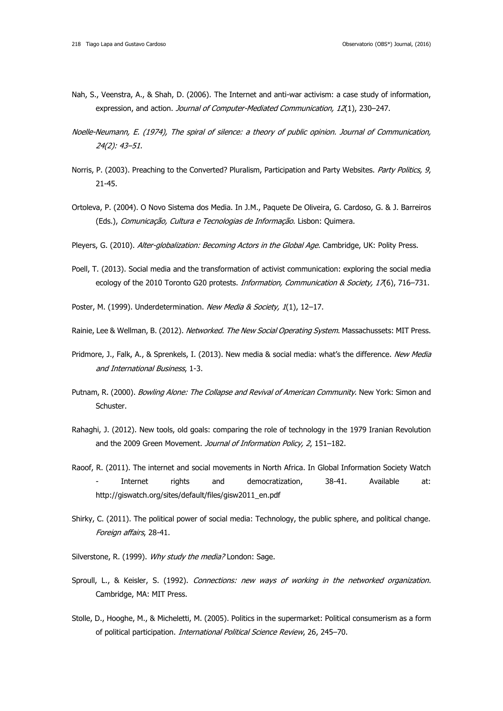- Nah, S., Veenstra, A., & Shah, D. (2006). The Internet and anti-war activism: a case study of information, expression, and action. Journal of Computer-Mediated Communication, 12(1), 230-247.
- Noelle-Neumann, E. (1974), The spiral of silence: a theory of public opinion. Journal of Communication, 24(2): 43–51.
- Norris, P. (2003). Preaching to the Converted? Pluralism, Participation and Party Websites. Party Politics, 9, 21-45.
- Ortoleva, P. (2004). O Novo Sistema dos Media. In J.M., Paquete De Oliveira, G. Cardoso, G. & J. Barreiros (Eds.), Comunicação, Cultura e Tecnologias de Informação. Lisbon: Quimera.
- Pleyers, G. (2010). Alter-globalization: Becoming Actors in the Global Age. Cambridge, UK: Polity Press.
- Poell, T. (2013). Social media and the transformation of activist communication: exploring the social media ecology of the 2010 Toronto G20 protests. Information, Communication & Society, 17(6), 716–731.
- Poster, M. (1999). Underdetermination. New Media & Society, 1(1), 12-17.
- Rainie, Lee & Wellman, B. (2012). Networked. The New Social Operating System. Massachussets: MIT Press.
- Pridmore, J., Falk, A., & Sprenkels, I. (2013). New media & social media: what's the difference. New Media and International Business, 1-3.
- Putnam, R. (2000). Bowling Alone: The Collapse and Revival of American Community. New York: Simon and Schuster.
- Rahaghi, J. (2012). New tools, old goals: comparing the role of technology in the 1979 Iranian Revolution and the 2009 Green Movement. Journal of Information Policy, 2, 151-182.
- Raoof, R. (2011). The internet and social movements in North Africa. In Global Information Society Watch Internet rights and democratization, 38-41. Available at: http://giswatch.org/sites/default/files/gisw2011\_en.pdf
- Shirky, C. (2011). The political power of social media: Technology, the public sphere, and political change. Foreign affairs, 28-41.
- Silverstone, R. (1999). Why study the media? London: Sage.
- Sproull, L., & Keisler, S. (1992). Connections: new ways of working in the networked organization. Cambridge, MA: MIT Press.
- Stolle, D., Hooghe, M., & Micheletti, M. (2005). Politics in the supermarket: Political consumerism as a form of political participation. International Political Science Review, 26, 245-70.